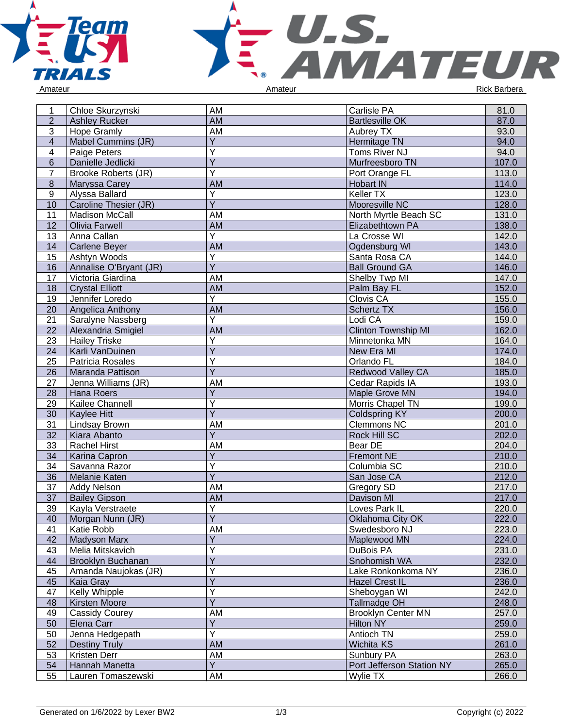



| 1                | Chloe Skurzynski           | AM                           | Carlisle PA                | 81.0  |
|------------------|----------------------------|------------------------------|----------------------------|-------|
| $\overline{2}$   | <b>Ashley Rucker</b>       | <b>AM</b>                    | <b>Bartlesville OK</b>     | 87.0  |
|                  |                            |                              |                            |       |
| 3                | <b>Hope Gramly</b>         | AM                           | Aubrey TX                  | 93.0  |
| $\overline{4}$   | Mabel Cummins (JR)         | Y                            | Hermitage TN               | 94.0  |
| $\overline{4}$   | Paige Peters               | $\overline{Y}$               | Toms River NJ              | 94.0  |
| $6\phantom{1}$   | Danielle Jedlicki          | $\overline{Y}$               | Murfreesboro TN            | 107.0 |
| $\overline{7}$   | <b>Brooke Roberts (JR)</b> | $\overline{\mathsf{Y}}$      | Port Orange FL             | 113.0 |
| $\overline{8}$   | Maryssa Carey              | <b>AM</b>                    | Hobart IN                  | 114.0 |
| $\boldsymbol{9}$ | Alyssa Ballard             | $\overline{Y}$               | Keller TX                  | 123.0 |
| 10               | Caroline Thesier (JR)      | $\overline{Y}$               | Mooresville NC             | 128.0 |
| 11               | Madison McCall             | AM                           | North Myrtle Beach SC      | 131.0 |
| 12               | <b>Olivia Farwell</b>      | AM                           | Elizabethtown PA           | 138.0 |
| 13               | Anna Callan                | $\overline{Y}$               | La Crosse WI               | 142.0 |
| 14               | <b>Carlene Beyer</b>       | AM                           | Ogdensburg WI              | 143.0 |
| 15               | Ashtyn Woods               | Y                            | Santa Rosa CA              | 144.0 |
| 16               | Annalise O'Bryant (JR)     | $\overline{Y}$               | <b>Ball Ground GA</b>      | 146.0 |
| 17               | Victoria Giardina          | AM                           | Shelby Twp MI              | 147.0 |
| 18               | <b>Crystal Elliott</b>     | <b>AM</b>                    | Palm Bay FL                | 152.0 |
| 19               | Jennifer Loredo            | $\overline{Y}$               | Clovis CA                  | 155.0 |
| 20               | Angelica Anthony           | AM                           | <b>Schertz TX</b>          | 156.0 |
| 21               | Saralyne Nassberg          | $\overline{Y}$               | Lodi CA                    | 159.0 |
|                  | Alexandria Smigiel         |                              | <b>Clinton Township MI</b> | 162.0 |
| 22               |                            | AM                           |                            |       |
| 23               | <b>Hailey Triske</b>       | Υ                            | Minnetonka MN              | 164.0 |
| 24               | Karli VanDuinen            | $\overline{Y}$               | New Era MI                 | 174.0 |
| 25               | Patricia Rosales           | $\overline{Y}$               | Orlando FL                 | 184.0 |
| 26               | Maranda Pattison           | $\overline{Y}$               | Redwood Valley CA          | 185.0 |
| 27               | Jenna Williams (JR)        | AM                           | Cedar Rapids IA            | 193.0 |
| 28               | Hana Roers                 | $\overline{Y}$               | Maple Grove MN             | 194.0 |
| 29               | Kailee Channell            | $\overline{\mathsf{Y}}$      | Morris Chapel TN           | 199.0 |
| 30               | Kaylee Hitt                | $\overline{Y}$               | <b>Coldspring KY</b>       | 200.0 |
| 31               | Lindsay Brown              | AM                           | Clemmons NC                | 201.0 |
| 32               | Kiara Abanto               | Y                            | Rock Hill SC               | 202.0 |
| 33               | <b>Rachel Hirst</b>        | AM                           | Bear DE                    | 204.0 |
| 34               | Karina Capron              | $\overline{Y}$               | <b>Fremont NE</b>          | 210.0 |
| 34               | Savanna Razor              | $\overline{Y}$               | Columbia SC                | 210.0 |
| 36               | Melanie Katen              | $\overline{Y}$               | San Jose CA                | 212.0 |
| 37               | <b>Addy Nelson</b>         | AM                           | Gregory SD                 | 217.0 |
| 37               | <b>Bailey Gipson</b>       | <b>AM</b>                    | Davison MI                 | 217.0 |
| 39               | Kayla Verstraete           | $\overline{Y}$               | Loves Park IL              | 220.0 |
| 40               | Morgan Nunn (JR)           | Y                            | Oklahoma City OK           | 222.0 |
| 41               | Katie Robb                 | AM                           | Swedesboro NJ              | 223.0 |
| 42               | <b>Madyson Marx</b>        | Υ                            | Maplewood MN               | 224.0 |
| 43               | Melia Mitskavich           | Ý                            | DuBois PA                  | 231.0 |
| 44               | Brooklyn Buchanan          | Ÿ                            | Snohomish WA               | 232.0 |
|                  |                            | Ý                            | Lake Ronkonkoma NY         |       |
| 45               | Amanda Naujokas (JR)       | Ý                            |                            | 236.0 |
| 45               | Kaia Gray                  |                              | <b>Hazel Crest IL</b>      | 236.0 |
| 47               | Kelly Whipple              | Y<br>$\overline{\mathsf{Y}}$ | Sheboygan WI               | 242.0 |
| 48               | Kirsten Moore              |                              | Tallmadge OH               | 248.0 |
| 49               | Cassidy Courey             | AM                           | <b>Brooklyn Center MN</b>  | 257.0 |
| 50               | Elena Carr                 | $\overline{Y}$               | Hilton NY                  | 259.0 |
| 50               | Jenna Hedgepath            | Ý                            | Antioch TN                 | 259.0 |
| 52               | <b>Destiny Truly</b>       | AM                           | Wichita KS                 | 261.0 |
| 53               | Kristen Derr               | AM                           | Sunbury PA                 | 263.0 |
| 54               | Hannah Manetta             | Y                            | Port Jefferson Station NY  | 265.0 |
| 55               | Lauren Tomaszewski         | <b>AM</b>                    | Wylie TX                   | 266.0 |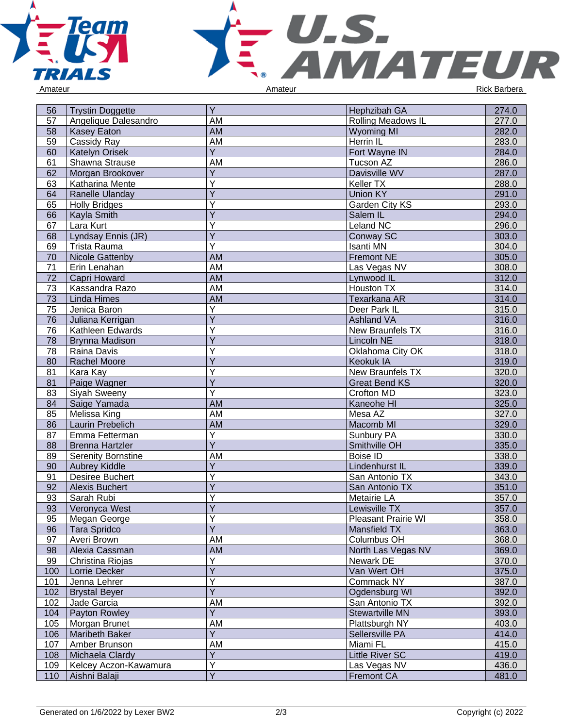



| Amateur |  |
|---------|--|
|         |  |

| 56  | Trystin Doggette          | Y               | <b>Hephzibah GA</b>    | 274.0 |
|-----|---------------------------|-----------------|------------------------|-------|
| 57  | Angelique Dalesandro      | AM              | Rolling Meadows IL     | 277.0 |
| 58  | <b>Kasey Eaton</b>        | AM              | <b>Wyoming MI</b>      | 282.0 |
| 59  | Cassidy Ray               | AM              | Herrin IL              | 283.0 |
| 60  | <b>Katelyn Orisek</b>     | Y               | Fort Wayne IN          | 284.0 |
| 61  | Shawna Strause            | AM              | Tucson AZ              | 286.0 |
| 62  | Morgan Brookover          | $\overline{Y}$  | Davisville WV          | 287.0 |
| 63  | Katharina Mente           | Υ               | Keller TX              | 288.0 |
| 64  | Ranelle Ulanday           | $\overline{Y}$  | <b>Union KY</b>        | 291.0 |
| 65  | <b>Holly Bridges</b>      | Y               | Garden City KS         | 293.0 |
| 66  | Kayla Smith               | Y               | Salem IL               | 294.0 |
| 67  | Lara Kurt                 | Υ               | <b>Leland NC</b>       | 296.0 |
| 68  | Lyndsay Ennis (JR)        | Y               | Conway SC              | 303.0 |
| 69  | Trista Rauma              | Y               | <b>Isanti MN</b>       | 304.0 |
| 70  | <b>Nicole Gattenby</b>    | AM              | <b>Fremont NE</b>      | 305.0 |
| 71  | Erin Lenahan              | AM              | Las Vegas NV           | 308.0 |
| 72  | Capri Howard              | $\overline{AM}$ | Lynwood IL             | 312.0 |
| 73  | Kassandra Razo            | AM              | Houston TX             | 314.0 |
| 73  | <b>Linda Himes</b>        | <b>AM</b>       | Texarkana AR           | 314.0 |
| 75  | Jenica Baron              | Y               | Deer Park IL           | 315.0 |
| 76  | Juliana Kerrigan          | $\overline{Y}$  | <b>Ashland VA</b>      | 316.0 |
| 76  | Kathleen Edwards          | Υ               | New Braunfels TX       | 316.0 |
| 78  | <b>Brynna Madison</b>     | Υ               | <b>Lincoln NE</b>      | 318.0 |
| 78  | Raina Davis               | Y               | Oklahoma City OK       | 318.0 |
| 80  | <b>Rachel Moore</b>       | $\overline{Y}$  | <b>Keokuk IA</b>       | 319.0 |
| 81  | Kara Kay                  | Υ               | New Braunfels TX       | 320.0 |
| 81  | Paige Wagner              | Ÿ               | <b>Great Bend KS</b>   | 320.0 |
| 83  | Siyah Sweeny              | Ÿ               | Crofton MD             | 323.0 |
| 84  | Saige Yamada              | <b>AM</b>       | Kaneohe HI             | 325.0 |
| 85  | Melissa King              | AM              | Mesa AZ                | 327.0 |
| 86  | Laurin Prebelich          | AM              | Macomb MI              | 329.0 |
| 87  | Emma Fetterman            | Υ               | Sunbury PA             | 330.0 |
| 88  | <b>Brenna Hartzler</b>    | Y               | Smithville OH          | 335.0 |
| 89  | <b>Serenity Bornstine</b> | AM              | <b>Boise ID</b>        | 338.0 |
| 90  | <b>Aubrey Kiddle</b>      | $\overline{Y}$  | Lindenhurst IL         | 339.0 |
| 91  | <b>Desiree Buchert</b>    | $\overline{Y}$  | San Antonio TX         | 343.0 |
| 92  | <b>Alexis Buchert</b>     | $\overline{Y}$  | San Antonio TX         | 351.0 |
| 93  | Sarah Rubi                | Υ               | Metairie LA            | 357.0 |
| 93  | Veronyca West             | $\overline{Y}$  | Lewisville TX          | 357.0 |
| 95  | Megan George              | Υ               | Pleasant Prairie WI    | 358.0 |
| 96  | Tara Spridco              | $\overline{Y}$  | Mansfield TX           | 363.0 |
| 97  | Averi Brown               | AM              | Columbus OH            | 368.0 |
| 98  | Alexia Cassman            | AM              | North Las Vegas NV     | 369.0 |
| 99  | Christina Riojas          | Υ               | Newark DE              | 370.0 |
| 100 | Lorrie Decker             | $\overline{Y}$  | Van Wert OH            | 375.0 |
| 101 | Jenna Lehrer              | Υ               | Commack NY             | 387.0 |
| 102 | <b>Brystal Beyer</b>      | $\overline{Y}$  | Ogdensburg WI          | 392.0 |
| 102 | Jade Garcia               | AM              | San Antonio TX         | 392.0 |
| 104 | Payton Rowley             | $\overline{Y}$  | <b>Stewartville MN</b> | 393.0 |
| 105 | Morgan Brunet             | AM              | Plattsburgh NY         | 403.0 |
| 106 | Maribeth Baker            | $\overline{Y}$  | Sellersville PA        | 414.0 |
| 107 | Amber Brunson             | AM              | Miami FL               | 415.0 |
| 108 | Michaela Clardy           | Y               | <b>Little River SC</b> | 419.0 |
| 109 | Kelcey Aczon-Kawamura     | Υ               | Las Vegas NV           | 436.0 |
| 110 | Aishni Balaji             | $\overline{Y}$  | <b>Fremont CA</b>      | 481.0 |